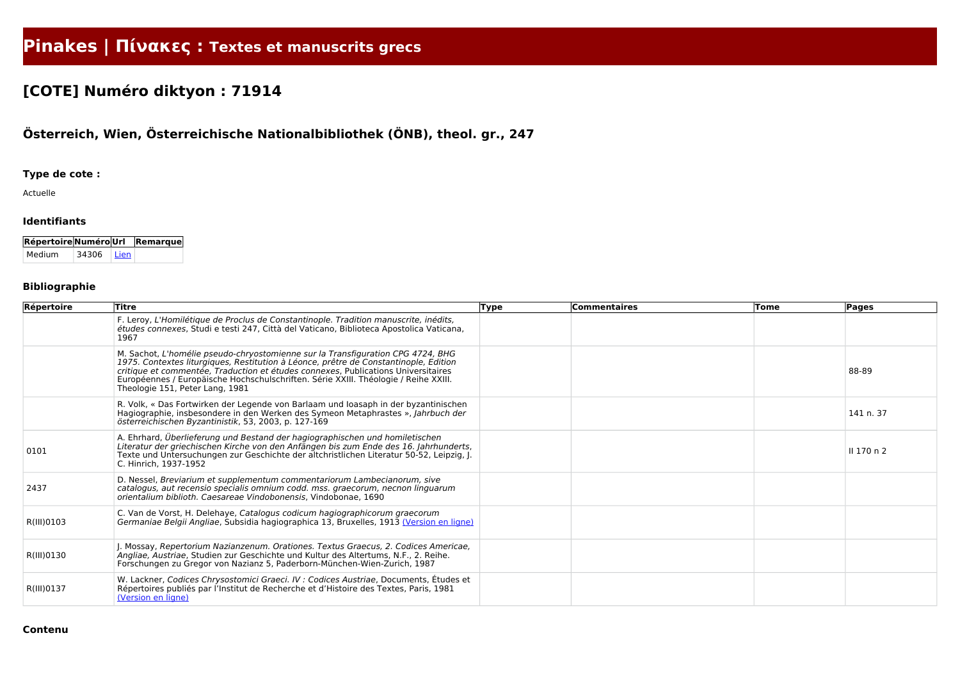# **Pinakes | Πίνακες : Textes et manuscrits grecs**

## **[COTE] Numéro diktyon : 71914**

### **Österreich, Wien, Österreichische Nationalbibliothek (ÖNB), theol. gr., 247**

#### **Type de cote :**

Actuelle

#### **Identifiants**

| Répertoire Numéro Url Remarque |            |  |
|--------------------------------|------------|--|
| Medium                         | 34306 Lien |  |

#### **Bibliographie**

| Répertoire | Titre                                                                                                                                                                                                                                                                                                                                                                                  | <b>Type</b> | <b>Commentaires</b> | Tome | <b>Pages</b> |
|------------|----------------------------------------------------------------------------------------------------------------------------------------------------------------------------------------------------------------------------------------------------------------------------------------------------------------------------------------------------------------------------------------|-------------|---------------------|------|--------------|
|            | F. Leroy, L'Homilétique de Proclus de Constantinople. Tradition manuscrite, inédits,<br>études connexes, Studi e testi 247, Città del Vaticano, Biblioteca Apostolica Vaticana,<br>1967                                                                                                                                                                                                |             |                     |      |              |
|            | M. Sachot, L'homélie pseudo-chryostomienne sur la Transfiguration CPG 4724, BHG<br>1975. Contextes liturgiques, Restitution à Léonce, prêtre de Constantinople, Edition<br>critique et commentée, Traduction et études connexes, Publications Universitaires<br>Européennes / Europäische Hochschulschriften. Série XXIII. Théologie / Reihe XXIII.<br>Theologie 151, Peter Lang, 1981 |             |                     |      | 88-89        |
|            | R. Volk, « Das Fortwirken der Legende von Barlaam und Ioasaph in der byzantinischen<br>Hagiographie, insbesondere in den Werken des Symeon Metaphrastes », Jahrbuch der<br>österreichischen Byzantinistik, 53, 2003, p. 127-169                                                                                                                                                        |             |                     |      | 141 n. 37    |
| 0101       | A. Ehrhard, Überlieferung und Bestand der hagiographischen und homiletischen<br>Literatur der griechischen Kirche von den Anfängen bis zum Ende des 16. Jahrhunderts,<br>Texte und Untersuchungen zur Geschichte der altchristlichen Literatur 50-52, Leipzig, J.<br>C. Hinrich, 1937-1952                                                                                             |             |                     |      | Il 170 n 2   |
| 2437       | D. Nessel, Breviarium et supplementum commentariorum Lambecianorum, sive<br>catalogus, aut recensio specialis omnium codd. mss. graecorum, necnon linguarum<br>orientalium biblioth. Caesareae Vindobonensis, Vindobonae, 1690                                                                                                                                                         |             |                     |      |              |
| R(III)0103 | C. Van de Vorst, H. Delehaye, Catalogus codicum hagiographicorum graecorum<br>Germaniae Belgii Angliae, Subsidia hagiographica 13, Bruxelles, 1913 (Version en ligne)                                                                                                                                                                                                                  |             |                     |      |              |
| R(III)0130 | J. Mossay, Repertorium Nazianzenum. Orationes. Textus Graecus, 2. Codices Americae,<br>Angliae, Austriae, Studien zur Geschichte und Kultur des Altertums, N.F., 2. Reihe.<br>Forschungen zu Gregor von Nazianz 5, Paderborn-München-Wien-Zurich, 1987                                                                                                                                 |             |                     |      |              |
| R(III)0137 | W. Lackner, Codices Chrysostomici Graeci. IV : Codices Austriae, Documents, Études et<br>Répertoires publiés par l'Institut de Recherche et d'Histoire des Textes, Paris, 1981<br>(Version en ligne)                                                                                                                                                                                   |             |                     |      |              |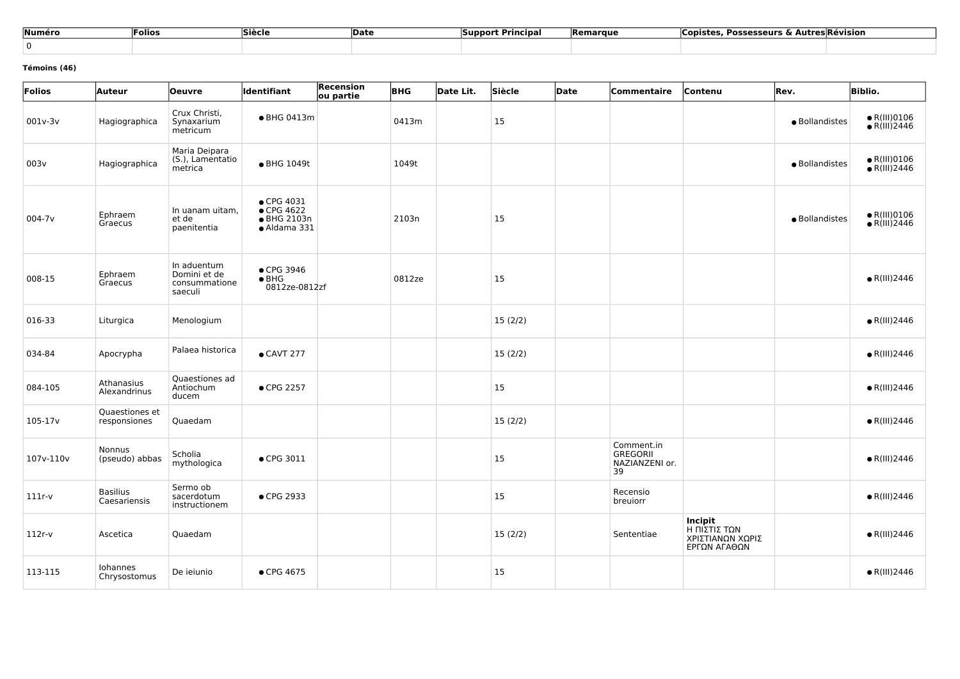| Numéro | Folios | Siècle | Date | <b>Support Principal</b> | <b>IRemarque</b> | . Possesseurs & Autres!'<br>Copistes | <b>Révision</b> |
|--------|--------|--------|------|--------------------------|------------------|--------------------------------------|-----------------|
|        |        |        |      |                          |                  |                                      |                 |

#### **Témoins (46)**

| Folios      | Auteur                          | <b>Oeuvre</b>                                           | Identifiant                                             | Recension<br>ou partie | <b>BHG</b> | Date Lit. | Siècle  | Date | Commentaire                                           | Contenu                                                     | Rev.           | <b>Biblio.</b>                               |
|-------------|---------------------------------|---------------------------------------------------------|---------------------------------------------------------|------------------------|------------|-----------|---------|------|-------------------------------------------------------|-------------------------------------------------------------|----------------|----------------------------------------------|
| 001v-3v     | Hagiographica                   | Crux Christi,<br>Synaxarium<br>metricum                 | • BHG 0413m                                             |                        | 0413m      |           | 15      |      |                                                       |                                                             | · Bollandistes | $\bullet$ R(III)0106<br>$\bullet$ R(III)2446 |
| 003v        | Hagiographica                   | Maria Deipara<br>(S.), Lamentatio<br>metrica            | • BHG 1049t                                             |                        | 1049t      |           |         |      |                                                       |                                                             | · Bollandistes | $\bullet$ R(III)0106<br>$\bullet$ R(III)2446 |
| $004 - 7v$  | Ephraem<br>Graecus              | In uanam uitam,<br>et de<br>paenitentia                 | • CPG 4031<br>• CPG 4622<br>• BHG 2103n<br>· Aldama 331 |                        | 2103n      |           | 15      |      |                                                       |                                                             | · Bollandistes | $\bullet$ R(III)0106<br>$\bullet$ R(III)2446 |
| 008-15      | Ephraem<br>Graecus              | In aduentum<br>Domini et de<br>consummatione<br>saeculi | • CPG 3946<br>$\bullet$ BHG<br>0812ze-0812zf            |                        | 0812ze     |           | 15      |      |                                                       |                                                             |                | $\bullet$ R(III)2446                         |
| 016-33      | Liturgica                       | Menologium                                              |                                                         |                        |            |           | 15(2/2) |      |                                                       |                                                             |                | $\bullet$ R(III)2446                         |
| 034-84      | Apocrypha                       | Palaea historica                                        | $\bullet$ CAVT 277                                      |                        |            |           | 15(2/2) |      |                                                       |                                                             |                | $\bullet$ R(III)2446                         |
| 084-105     | Athanasius<br>Alexandrinus      | Quaestiones ad<br>Antiochum<br>ducem                    | • CPG 2257                                              |                        |            |           | 15      |      |                                                       |                                                             |                | $\bullet$ R(III)2446                         |
| $105 - 17v$ | Quaestiones et<br>responsiones  | Quaedam                                                 |                                                         |                        |            |           | 15(2/2) |      |                                                       |                                                             |                | $\bullet$ R(III)2446                         |
| 107v-110v   | Nonnus<br>(pseudo) abbas        | Scholia<br>mythologica                                  | • CPG 3011                                              |                        |            |           | 15      |      | Comment.in<br><b>GREGORII</b><br>NAZIANZENI or.<br>39 |                                                             |                | $\bullet$ R(III)2446                         |
| $111r-v$    | <b>Basilius</b><br>Caesariensis | Sermo ob<br>sacerdotum<br>instructionem                 | • CPG 2933                                              |                        |            |           | 15      |      | Recensio<br>breuiorr                                  |                                                             |                | $\bullet$ R(III)2446                         |
| $112r-v$    | Ascetica                        | Quaedam                                                 |                                                         |                        |            |           | 15(2/2) |      | Sententiae                                            | Incipit<br>Η ΠΙΣΤΙΣ ΤΩΝ<br>ΧΡΙΣΤΙΑΝΩΝ ΧΩΡΙΣ<br>ΕΡΓΩΝ ΑΓΑΘΩΝ |                | $\bullet$ R(III)2446                         |
| 113-115     | Iohannes<br>Chrysostomus        | De ieiunio                                              | • CPG 4675                                              |                        |            |           | 15      |      |                                                       |                                                             |                | $\bullet$ R(III)2446                         |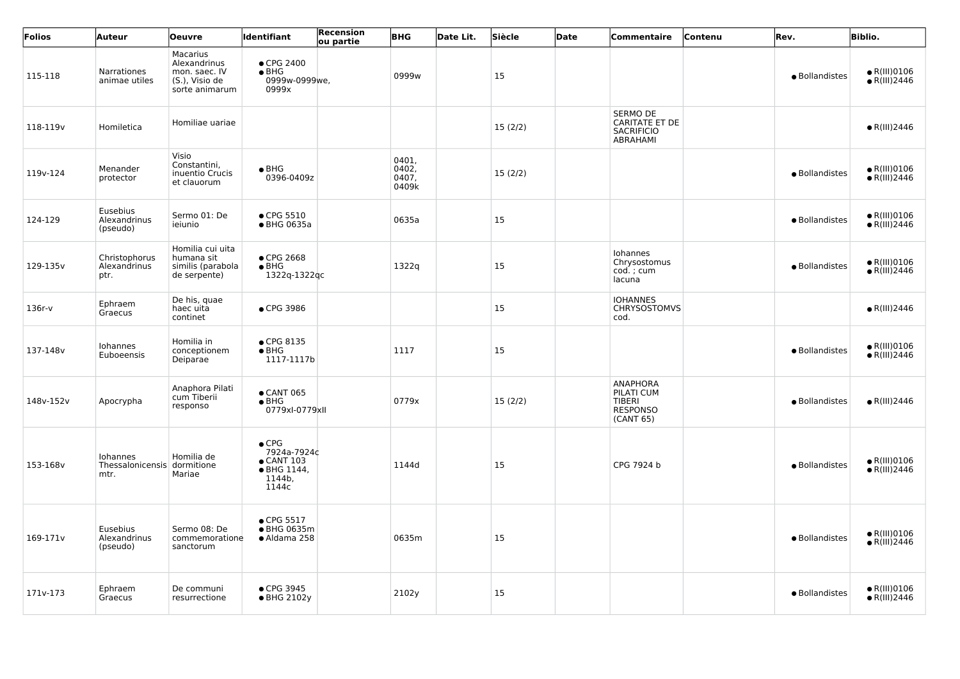| Folios               | Auteur                                | <b>Oeuvre</b>                                                                 | ldentifiant                                                                          | Recension<br>ou partie | <b>BHG</b>                       | Date Lit. | Siècle        | Date | Commentaire                                                                      | Contenu | Rev.           | <b>Biblio.</b>                               |
|----------------------|---------------------------------------|-------------------------------------------------------------------------------|--------------------------------------------------------------------------------------|------------------------|----------------------------------|-----------|---------------|------|----------------------------------------------------------------------------------|---------|----------------|----------------------------------------------|
| 115-118              | <b>Narrationes</b><br>animae utiles   | Macarius<br>Alexandrinus<br>mon. saec. IV<br>(S.), Visio de<br>sorte animarum | $\bullet$ CPG 2400<br>$\bullet$ BHG<br>0999w-0999we,<br>0999x                        |                        | 0999w                            |           | <sup>15</sup> |      |                                                                                  |         | · Bollandistes | $\bullet$ R(III)0106<br>$\bullet$ R(III)2446 |
| 118-119 <sub>v</sub> | Homiletica                            | Homiliae uariae                                                               |                                                                                      |                        |                                  |           | 15(2/2)       |      | <b>SERMO DE</b><br><b>CARITATE ET DE</b><br><b>SACRIFICIO</b><br><b>ABRAHAMI</b> |         |                | $\bullet$ R(III)2446                         |
| 119v-124             | Menander<br>protector                 | Visio<br>Constantini,<br>inuentio Crucis<br>et clauorum                       | $\bullet$ BHG<br>0396-0409z                                                          |                        | 0401,<br>0402,<br>0407,<br>0409k |           | 15(2/2)       |      |                                                                                  |         | · Bollandistes | $\bullet$ R(III)0106<br>$\bullet$ R(III)2446 |
| 124-129              | Eusebius<br>Alexandrinus<br>(pseudo)  | Sermo 01: De<br>ieiunio                                                       | $\bullet$ CPG 5510<br>• BHG 0635a                                                    |                        | 0635a                            |           | 15            |      |                                                                                  |         | · Bollandistes | $\bullet$ R(III)0106<br>$\bullet$ R(III)2446 |
| 129-135v             | Christophorus<br>Alexandrinus<br>ptr. | Homilia cui uita<br>humana sit<br>similis (parabola<br>de serpente)           | ● CPG 2668<br>$\bullet$ BHG<br>1322q-1322qc                                          |                        | 1322q                            |           | 15            |      | Iohannes<br>Chrysostomus<br>cod.; cum<br>lacuna                                  |         | · Bollandistes | $\bullet$ R(III)0106<br>$\bullet$ R(III)2446 |
| $136r-v$             | Ephraem<br>Graecus                    | De his, quae<br>haec uita<br>continet                                         | • CPG 3986                                                                           |                        |                                  |           | <sup>15</sup> |      | <b>IOHANNES</b><br><b>CHRYSOSTOMVS</b><br>cod.                                   |         |                | $\bullet$ R(III)2446                         |
| 137-148v             | Iohannes<br>Euboeensis                | Homilia in<br>conceptionem<br>Deiparae                                        | • CPG 8135<br>$\bullet$ BHG<br>1117-1117b                                            |                        | 1117                             |           | 15            |      |                                                                                  |         | · Bollandistes | $\bullet$ R(III)0106<br>$\bullet$ R(III)2446 |
| 148v-152v            | Apocrypha                             | Anaphora Pilati<br>cum Tiberii<br>responso                                    | $\bullet$ CANT 065<br>$\bullet$ BHG<br>0779xI-0779xII                                |                        | 0779x                            |           | 15(2/2)       |      | <b>ANAPHORA</b><br>PILATI CUM<br><b>TIBERI</b><br><b>RESPONSO</b><br>(CANT 65)   |         | · Bollandistes | $\bullet$ R(III)2446                         |
| 153-168v             | Iohannes<br>Thessalonicensis<br>mtr.  | Homilia de<br>dormitione<br>Mariae                                            | $\bullet$ CPG<br>7924a-7924c<br>$\bullet$ CANT 103<br>• BHG 1144,<br>1144b,<br>1144c |                        | 1144d                            |           | <b>15</b>     |      | CPG 7924 b                                                                       |         | • Bollandistes | $\bullet$ R(III)0106<br>$\bullet$ R(III)2446 |
| 169-171v             | Eusebius<br>Alexandrinus<br>(pseudo)  | Sermo 08: De<br>commemoratione<br>sanctorum                                   | • CPG 5517<br>● BHG 0635m<br>• Aldama 258                                            |                        | 0635m                            |           | <sup>15</sup> |      |                                                                                  |         | · Bollandistes | $\bullet$ R(III)0106<br>$\bullet$ R(III)2446 |
| 171v-173             | Ephraem<br>Graecus                    | De communi<br>resurrectione                                                   | • CPG 3945<br>• BHG 2102y                                                            |                        | 2102y                            |           | <b>15</b>     |      |                                                                                  |         | · Bollandistes | $\bullet$ R(III)0106<br>$\bullet$ R(III)2446 |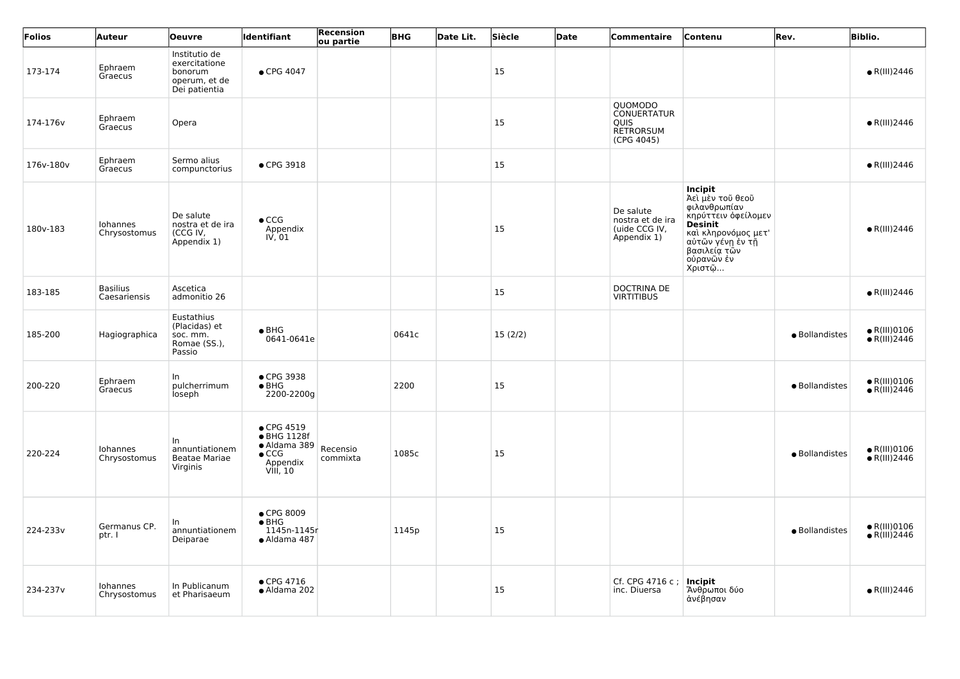| Folios    | Auteur                          | <b>Oeuvre</b>                                                               | <b>Identifiant</b>                                                                         | <b>Recension</b><br>ou partie | <b>BHG</b> | Date Lit. | Siècle    | Date | <b>Commentaire</b>                                                             | Contenu                                                                                                                                                                     | Rev.           | <b>Biblio.</b>                                |
|-----------|---------------------------------|-----------------------------------------------------------------------------|--------------------------------------------------------------------------------------------|-------------------------------|------------|-----------|-----------|------|--------------------------------------------------------------------------------|-----------------------------------------------------------------------------------------------------------------------------------------------------------------------------|----------------|-----------------------------------------------|
| 173-174   | Ephraem<br>Graecus              | Institutio de<br>exercitatione<br>bonorum<br>operum, et de<br>Dei patientia | • CPG 4047                                                                                 |                               |            |           | 15        |      |                                                                                |                                                                                                                                                                             |                | $\bullet$ R(III)2446                          |
| 174-176v  | Ephraem<br>Graecus              | Opera                                                                       |                                                                                            |                               |            |           | 15        |      | QUOMODO<br><b>CONUERTATUR</b><br><b>QUIS</b><br><b>RETRORSUM</b><br>(CPG 4045) |                                                                                                                                                                             |                | $\bullet$ R(III)2446                          |
| 176v-180v | Ephraem<br>Graecus              | Sermo alius<br>compunctorius                                                | • CPG 3918                                                                                 |                               |            |           | 15        |      |                                                                                |                                                                                                                                                                             |                | $\bullet$ R(III)2446                          |
| 180v-183  | Iohannes<br>Chrysostomus        | De salute<br>nostra et de ira<br>(CCG IV,<br>Appendix 1)                    | $\bullet$ CCG<br>Appendix<br>$I\dot{V}$ , 01                                               |                               |            |           | 15        |      | De salute<br>nostra et de ira<br>(uide CCG IV,<br>Appendix 1)                  | Incipit<br>  Ἀεὶ μὲν τοῦ θεοῦ<br>φιλανθρωπίαν<br>κηρύττειν όφείλομεν<br><b>Desinit</b><br>καὶ κληρονόμος μετ'<br>αὐτῶν γένη ἐν τῆ<br>βασιλεία τὢν<br>ούρανῶν ἐν<br>  Χριστῷ |                | $\bullet$ R(III)2446                          |
| 183-185   | <b>Basilius</b><br>Caesariensis | Ascetica<br>admonitio 26                                                    |                                                                                            |                               |            |           | 15        |      | <b>DOCTRINA DE</b><br><b>VIRTITIBUS</b>                                        |                                                                                                                                                                             |                | $\bullet$ R(III)2446                          |
| 185-200   | Hagiographica                   | Eustathius<br>(Placidas) et<br>soc. mm.<br>Romae (SS.),<br>Passio           | $\bullet$ BHG<br>0641-0641e                                                                |                               | 0641c      |           | 15(2/2)   |      |                                                                                |                                                                                                                                                                             | · Bollandistes | $\bullet$ R(III)0106<br>$\bullet$ R(III)2446  |
| 200-220   | Ephraem<br>Graecus              | In.<br>pulcherrimum<br>loseph                                               | • CPG 3938<br>$\bullet$ BHG<br>2200-2200g                                                  |                               | 2200       |           | <b>15</b> |      |                                                                                |                                                                                                                                                                             | · Bollandistes | $\bullet$ R(III)0106<br>$\bullet$ R(III)2446  |
| 220-224   | Iohannes<br>Chrysostomus        | In.<br>annuntiationem<br><b>Beatae Mariae</b><br>Virginis                   | $\bullet$ CPG 4519<br>• BHG 1128f<br>· Aldama 389<br>$\bullet$ CCG<br>Appendix<br>VIII, 10 | Recensio<br>commixta          | 1085c      |           | 15        |      |                                                                                |                                                                                                                                                                             | · Bollandistes | $\bullet$ R(III)0106<br>$\bullet$ R(III) 2446 |
| 224-233v  | Germanus CP.<br>ptr. I          | annuntiationem<br>Deiparae                                                  | ● CPG 8009<br>$\bullet$ BHG<br>1145n-1145r<br>· Aldama 487                                 |                               | 1145p      |           | 15        |      |                                                                                |                                                                                                                                                                             | · Bollandistes | $\bullet$ R(III)0106<br>$\bullet$ R(III) 2446 |
| 234-237v  | Iohannes<br>Chrysostomus        | In Publicanum<br>et Pharisaeum                                              | $\bullet$ CPG 4716<br>· Aldama 202                                                         |                               |            |           | 15        |      | Cf. CPG 4716 c;<br>inc. Diuersa                                                | Incipit<br>Άνθρωποι δύο<br>ανέβησαν                                                                                                                                         |                | $\bullet$ R(III)2446                          |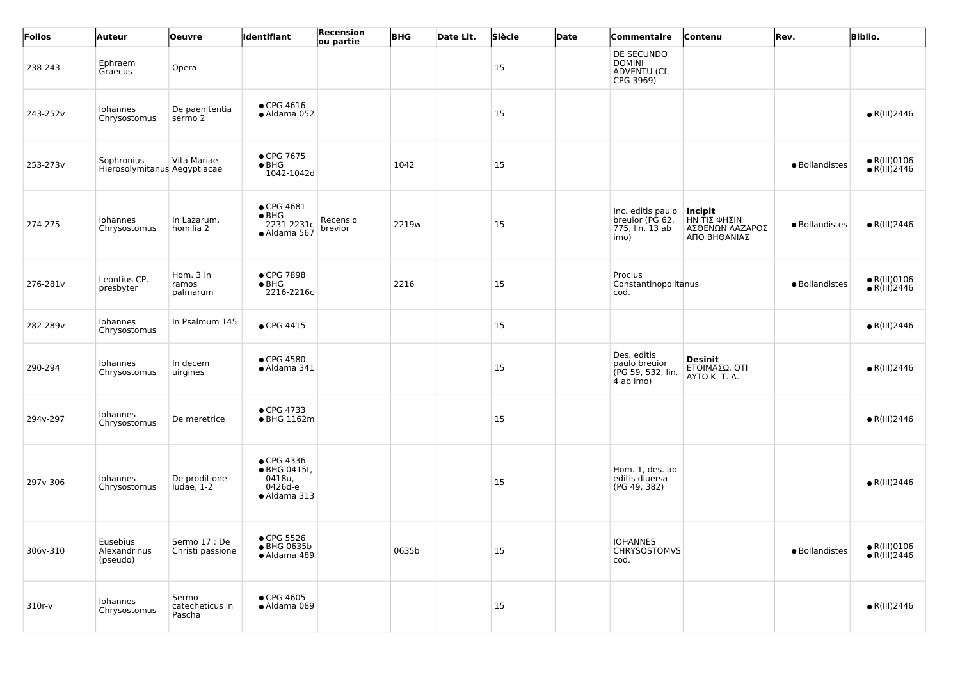| Folios   | Auteur                                     | Oeuvre                             | Identifiant                                                     | <b>Recension</b><br>ou partie | <b>BHG</b> | Date Lit. | Siècle | Date | Commentaire                                                     | Contenu                                                    | Rev.           | <b>Biblio.</b>                                |
|----------|--------------------------------------------|------------------------------------|-----------------------------------------------------------------|-------------------------------|------------|-----------|--------|------|-----------------------------------------------------------------|------------------------------------------------------------|----------------|-----------------------------------------------|
| 238-243  | Ephraem<br>Graecus                         | Opera                              |                                                                 |                               |            |           | 15     |      | DE SECUNDO<br><b>DOMINI</b><br>ADVENTU (Cf.<br>CPG 3969)        |                                                            |                |                                               |
| 243-252v | Iohannes<br>Chrysostomus                   | De paenitentia<br>sermo 2          | $\bullet$ CPG 4616<br>• Aldama 052                              |                               |            |           | 15     |      |                                                                 |                                                            |                | $\bullet$ R(III)2446                          |
| 253-273v | Sophronius<br>Hierosolymitanus Aegyptiacae | Vita Mariae                        | • CPG 7675<br>$\bullet$ BHG<br>1042-1042d                       |                               | 1042       |           | 15     |      |                                                                 |                                                            | · Bollandistes | $\bullet$ R(III)0106<br>$\bullet$ R(III)2446  |
| 274-275  | Iohannes<br>Chrysostomus                   | In Lazarum,<br>homilia 2           | • CPG 4681<br>$\bullet$ BHG<br>2231-2231c<br>· Aldama 567       | Recensio<br>brevior           | 2219w      |           | 15     |      | Inc. editis paulo<br>breuior (PG 62,<br>775, lin. 13 ab<br>imo) | Incipit<br>ΗΝ ΤΙΣ ΦΗΣΙΝ<br>ΑΣΘΕΝΩΝ ΛΑΖΑΡΟΣ<br>ΑΠΟ ΒΗΘΑΝΙΑΣ | · Bollandistes | $\bullet$ R(III)2446                          |
| 276-281v | Leontius CP.<br>presbyter                  | Hom. 3 in<br>ramos<br>palmarum     | ● CPG 7898<br>$\bullet$ BHG<br>2216-2216c                       |                               | 2216       |           | 15     |      | Proclus<br>Constantinopolitanus<br>cod.                         |                                                            | · Bollandistes | $\bullet$ R(III)0106<br>$\bullet$ R(III) 2446 |
| 282-289v | Iohannes<br>Chrysostomus                   | In Psalmum 145                     | $\bullet$ CPG 4415                                              |                               |            |           | 15     |      |                                                                 |                                                            |                | $\bullet$ R(III)2446                          |
| 290-294  | Iohannes<br>Chrysostomus                   | In decem<br>uirgines               | $\bullet$ CPG 4580<br>· Aldama 341                              |                               |            |           | 15     |      | Des. editis<br>paulo breuior<br>(PG 59, 532, lin.<br>4 ab imo)  | Desinit<br>ΕΤΟΙΜΑΣΩ, ΟΤΙ<br>AYTQK. T. A.                   |                | $\bullet$ R(III)2446                          |
| 294v-297 | Iohannes<br>Chrysostomus                   | De meretrice                       | • CPG 4733<br>• BHG 1162m                                       |                               |            |           | 15     |      |                                                                 |                                                            |                | $\bullet$ R(III)2446                          |
| 297v-306 | Iohannes<br>Chrysostomus                   | De proditione<br>Iudae, $1-2$      | • CPG 4336<br>• BHG 0415t,<br>0418u,<br>0426d-e<br>• Aldama 313 |                               |            |           | 15     |      | Hom. 1, des. ab<br>editis diuersa<br>(PG 49, 382)               |                                                            |                | $\bullet$ R(III)2446                          |
| 306v-310 | Eusebius<br>Alexandrinus<br>(pseudo)       | Sermo 17 : De<br>Christi passione  | • CPG 5526<br>● BHG 0635b<br>· Aldama 489                       |                               | 0635b      |           | 15     |      | <b>IOHANNES</b><br><b>CHRYSOSTOMVS</b><br>cod.                  |                                                            | · Bollandistes | $\bullet$ R(III)0106<br>$\bullet$ R(III)2446  |
| 310r-v   | Iohannes<br>Chrysostomus                   | Sermo<br>catecheticus in<br>Pascha | $\bullet$ CPG 4605<br>· Aldama 089                              |                               |            |           | 15     |      |                                                                 |                                                            |                | $\bullet$ R(III)2446                          |